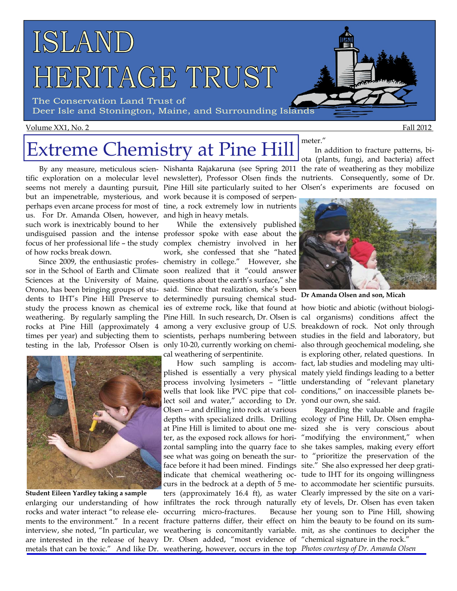

The Conservation Land Trust of Deer Isle and Stonington, Maine, and Surrounding Islands

### Volume XX1, No. 2 Fall 2012

# Extreme Chemistry at Pine Hill

us. For Dr. Amanda Olsen, however, and high in heavy metals. such work is inextricably bound to her of how rocks break down.

dents to IHT's Pine Hill Preserve to determinedly pursuing chemical stud-



enlarging our understanding of how **Student Eileen Yardley taking a sample** 

By any measure, meticulous scien-Nishanta Rajakaruna (see Spring 2011 the rate of weathering as they mobilize tific exploration on a molecular level newsletter), Professor Olsen finds the nutrients. Consequently, some of Dr. seems not merely a daunting pursuit, Pine Hill site particularly suited to her Olsen's experiments are focused on but an impenetrable, mysterious, and work because it is composed of serpenperhaps even arcane process for most of tine, a rock extremely low in nutrients

undisguised passion and the intense professor spoke with ease about the focus of her professional life – the study complex chemistry involved in her Since 2009, the enthusiastic profes-chemistry in college." However, she sor in the School of Earth and Climate soon realized that it "could answer Sciences at the University of Maine, questions about the earth's surface," she Orono, has been bringing groups of stu-said. Since that realization, she's been study the process known as chemical ies of extreme rock, like that found at how biotic and abiotic (without biologi-While the extensively published work, she confessed that she "hated cal weathering of serpentinite.

rocks and water interact "to release ele-occurring micro-fractures. Because ments to the environment." In a recent fracture patterns differ, their effect on him the beauty to be found on its sumare interested in the release of heavy Dr. Olsen added, "most evidence of "chemical signature in the rock." lect soil and water," according to Dr. yond our own, she said. Olsen -- and drilling into rock at various depths with specialized drills. Drilling ecology of Pine Hill, Dr. Olsen emphaface before it had been mined. Findings site." She also expressed her deep gratiters (approximately 16.4 ft), as water Clearly impressed by the site on a vari-

In addition to fracture patterns, biota (plants, fungi, and bacteria) affect

meter."



**Dr Amanda Olsen and son, Micah** 

weathering. By regularly sampling the Pine Hill. In such research, Dr. Olsen is cal organisms) conditions affect the rocks at Pine Hill (approximately 4 among a very exclusive group of U.S. breakdown of rock. Not only through times per year) and subjecting them to scientists, perhaps numbering between studies in the field and laboratory, but testing in the lab, Professor Olsen is only 10-20, currently working on chemi-also through geochemical modeling, she How such sampling is accom-fact, lab studies and modeling may ultiplished is essentially a very physical mately yield findings leading to a better process involving lysimeters – "little understanding of "relevant planetary wells that look like PVC pipe that col-conditions," on inaccessible planets beis exploring other, related questions. In

interview, she noted, "In particular, we weathering is concomitantly variable. mit, as she continues to decipher the at Pine Hill is limited to about one me-sized she is very conscious about ter, as the exposed rock allows for hori-"modifying the environment," when zontal sampling into the quarry face to she takes samples, making every effort see what was going on beneath the sur-to "prioritize the preservation of the indicate that chemical weathering oc-tude to IHT for its ongoing willingness curs in the bedrock at a depth of 5 me-to accommodate her scientific pursuits. infiltrates the rock through naturally ety of levels, Dr. Olsen has even taken Regarding the valuable and fragile Because her young son to Pine Hill, showing

metals that can be toxic." And like Dr. weathering, however, occurs in the top *Photos courtesy of Dr. Amanda Olsen*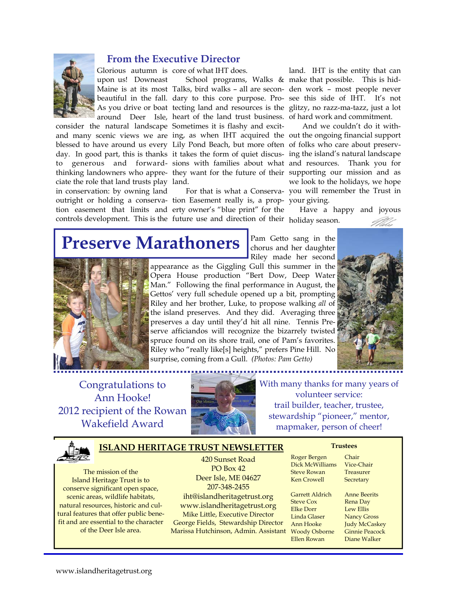

### **From the Executive Director**

Glorious autumn is core of what IHT does.

upon us! Downeast

ciate the role that land trusts play land. in conservation: by owning land controls development. This is the future use and direction of their holiday season.

Maine is at its most Talks, bird walks – all are secon-den work – most people never beautiful in the fall. dary to this core purpose. Pro-see this side of IHT. It's not As you drive or boat tecting land and resources is the glitzy, no razz-ma-tazz, just a lot around Deer Isle, heart of the land trust business. of hard work and commitment. consider the natural landscape Sometimes it is flashy and excitand many scenic views we are ing, as when IHT acquired the out the ongoing financial support blessed to have around us every Lily Pond Beach, but more often of folks who care about preservday. In good part, this is thanks it takes the form of quiet discus-ing the island's natural landscape to generous and forward-sions with families about what and resources. Thank you for thinking landowners who appre-they want for the future of their supporting our mission and as

outright or holding a conserva-tion Easement really is, a prop-your giving. tion easement that limits and erty owner's "blue print" for the

School programs, Walks & make that possible. This is hidland. IHT is the entity that can

For that is what a Conserva-you will remember the Trust in And we couldn't do it withwe look to the holidays, we hope

Have a happy and joyous

Pam Getto sang in the chorus and her daughter

## **Preserve Marathoners**



Riley made her second appearance as the Giggling Gull this summer in the Opera House production "Bert Dow, Deep Water Man." Following the final performance in August, the Gettos' very full schedule opened up a bit, prompting Riley and her brother, Luke, to propose walking *all* of the island preserves. And they did. Averaging three preserves a day until they'd hit all nine. Tennis Preserve afficiandos will recognize the bizarrely twisted spruce found on its shore trail, one of Pam's favorites. Riley who "really like[s] heights," prefers Pine Hill. No surprise, coming from a Gull. *(Photos: Pam Getto)*



Congratulations to Ann Hooke! 2012 recipient of the Rowan Wakefield Award



With many thanks for many years of volunteer service: trail builder, teacher, trustee, stewardship "pioneer," mentor, mapmaker, person of cheer!



### **ISLAND HERITAGE TRUST NEWSLETTER**

The mission of the Island Heritage Trust is to conserve significant open space, scenic areas, wildlife habitats, natural resources, historic and cultural features that offer public benefit and are essential to the character of the Deer Isle area.

420 Sunset Road PO Box 42 Deer Isle, ME 04627 207-348-2455 iht@islandheritagetrust.org www.islandheritagetrust.org Mike Little, Executive Director George Fields, Stewardship Director Marissa Hutchinson, Admin. Assistant

Roger Bergen Chair Dick McWilliams Vice-Chair Steve Rowan Treasurer Ken Crowell Secretary

Garrett Aldrich Anne Beerits Steve Cox Rena Day Elke Dorr Lew Ellis<br>
Linda Glaser Nancy Gr Ann Hooke Judy McCaskey Woody Osborne Ginnie Peacock Ellen Rowan Diane Walker

**Trustees** 

**Nancy Gross**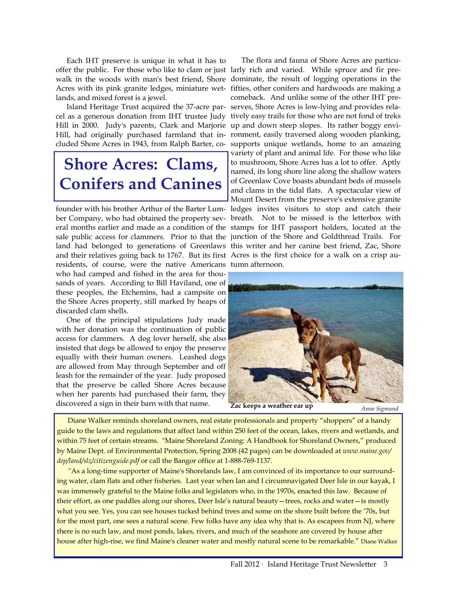Each IHT preserve is unique in what it has to lands, and mixed forest is a jewel.

cluded Shore Acres in 1943, from Ralph Barter, co-

## **Shore Acres: Clams, Conifers and Canines**

founder with his brother Arthur of the Barter Lumand their relatives going back to 1767. But its first Acres is the first choice for a walk on a crisp auresidents, of course, were the native Americans tumn afternoon. who had camped and fished in the area for thousands of years. According to Bill Haviland, one of these peoples, the Etchemins, had a campsite on the Shore Acres property, still marked by heaps of discarded clam shells.

 One of the principal stipulations Judy made with her donation was the continuation of public access for clammers. A dog lover herself, she also insisted that dogs be allowed to enjoy the preserve equally with their human owners. Leashed dogs are allowed from May through September and off leash for the remainder of the year. Judy proposed that the preserve be called Shore Acres because when her parents had purchased their farm, they discovered a sign in their barn with that name.

offer the public. For those who like to clam or just larly rich and varied. While spruce and fir prewalk in the woods with man's best friend, Shore dominate, the result of logging operations in the Acres with its pink granite ledges, miniature wet-fifties, other conifers and hardwoods are making a Island Heritage Trust acquired the 37-acre par-serves, Shore Acres is low-lying and provides relacel as a generous donation from IHT trustee Judy tively easy trails for those who are not fond of treks Hill in 2000. Judy's parents, Clark and Marjorie up and down steep slopes. Its rather boggy envi-Hill, had originally purchased farmland that in-ronment, easily traversed along wooden planking, ber Company, who had obtained the property sev-breath. Not to be missed is the letterbox with eral months earlier and made as a condition of the stamps for IHT passport holders, located at the sale public access for clammers. Prior to that the junction of the Shore and Goldthread Trails. For land had belonged to generations of Greenlaws this writer and her canine best friend, Zac, Shore The flora and fauna of Shore Acres are particucomeback. And unlike some of the other IHT presupports unique wetlands, home to an amazing variety of plant and animal life. For those who like to mushroom, Shore Acres has a lot to offer. Aptly named, its long shore line along the shallow waters of Greenlaw Cove boasts abundant beds of mussels and clams in the tidal flats. A spectacular view of Mount Desert from the preserve's extensive granite ledges invites visitors to stop and catch their



**Zac keeps a weather ear up** *Anne Sigmund* 

 Diane Walker reminds shoreland owners, real estate professionals and property "shoppers" of a handy guide to the laws and regulations that affect land within 250 feet of the ocean, lakes, rivers and wetlands, and within 75 feet of certain streams. "Maine Shoreland Zoning: A Handbook for Shoreland Owners," produced by Maine Dept. of Environmental Protection, Spring 2008 (42 pages) can be downloaded at *www.maine.gov/ dep/land/slz/citizenguide.pdf* or call the Bangor office at 1-888-769-1137.

 *"*As a long-time supporter of Maine's Shorelands law, I am convinced of its importance to our surrounding water, clam flats and other fisheries. Last year when Ian and I circumnavigated Deer Isle in our kayak, I was immensely grateful to the Maine folks and legislators who, in the 1970s, enacted this law. Because of their effort, as one paddles along our shores, Deer Isle's natural beauty—trees, rocks and water—is mostly what you see. Yes, you can see houses tucked behind trees and some on the shore built before the '70s, but for the most part, one sees a natural scene. Few folks have any idea why that is. As escapees from NJ, where there is no such law, and most ponds, lakes, rivers, and much of the seashore are covered by house after house after high-rise, we find Maine's cleaner water and mostly natural scene to be remarkable." Diane Walker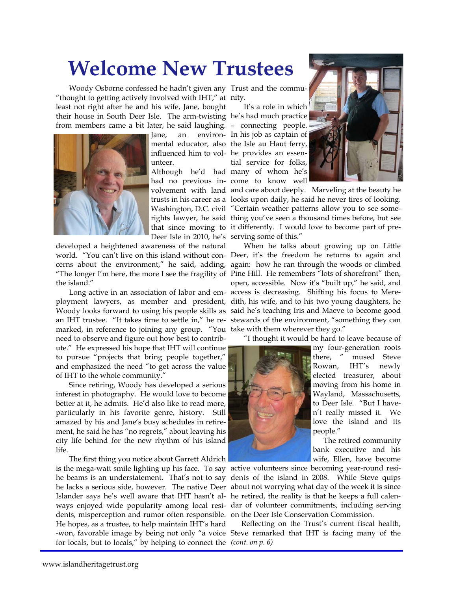## **Welcome New Trustees**

Woody Osborne confessed he hadn't given any Trust and the commu-"thought to getting actively involved with IHT," at nity. least not right after he and his wife, Jane, bought their house in South Deer Isle. The arm-twisting he's had much practice from members came a bit later, he said laughing. – connecting people.



unteer.

Deer Isle in 2010, he's serving some of this."

developed a heightened awareness of the natural the island."

marked, in reference to joining any group. "You take with them wherever they go." need to observe and figure out how best to contribute." He expressed his hope that IHT will continue to pursue "projects that bring people together," and emphasized the need "to get across the value of IHT to the whole community."

Since retiring, Woody has developed a serious interest in photography. He would love to become better at it, he admits. He'd also like to read more, particularly in his favorite genre, history. Still amazed by his and Jane's busy schedules in retirement, he said he has "no regrets," about leaving his city life behind for the new rhythm of his island life.

The first thing you notice about Garrett Aldrich is the mega-watt smile lighting up his face. To say active volunteers since becoming year-round residents, misperception and rumor often responsible. on the Deer Isle Conservation Commission. He hopes, as a trustee, to help maintain IHT's hard for locals, but to locals," by helping to connect the *(cont. on p. 6)* 

Jane, an environ-In his job as captain of mental educator, also the Isle au Haut ferry, influenced him to vol-he provides an essen-Although he'd had many of whom he's had no previous in-come to know well It's a role in which tial service for folks,



volvement with land and care about deeply. Marveling at the beauty he trusts in his career as a looks upon daily, he said he never tires of looking. Washington, D.C. civil "Certain weather patterns allow you to see somerights lawyer, he said thing you've seen a thousand times before, but see that since moving to it differently. I would love to become part of pre-

world. "You can't live on this island without con-Deer, it's the freedom he returns to again and cerns about the environment," he said, adding, again: how he ran through the woods or climbed "The longer I'm here, the more I see the fragility of Pine Hill. He remembers "lots of shorefront" then, Long active in an association of labor and em-access is decreasing. Shifting his focus to Mereployment lawyers, as member and president, dith, his wife, and to his two young daughters, he Woody looks forward to using his people skills as said he's teaching Iris and Maeve to become good an IHT trustee. "It takes time to settle in," he re-stewards of the environment, "something they can When he talks about growing up on Little open, accessible. Now it's "built up," he said, and

"I thought it would be hard to leave because of



my four-generation roots there, " mused Steve Rowan, IHT's newly elected treasurer, about moving from his home in Wayland, Massachusetts, to Deer Isle. "But I haven't really missed it. We love the island and its people."

 The retired community bank executive and his wife, Ellen, have become

he beams is an understatement. That's not to say dents of the island in 2008. While Steve quips he lacks a serious side, however. The native Deer about not worrying what day of the week it is since Islander says he's well aware that IHT hasn't al-he retired, the reality is that he keeps a full calenways enjoyed wide popularity among local resi-dar of volunteer commitments, including serving

-won, favorable image by being not only "a voice Steve remarked that IHT is facing many of the Reflecting on the Trust's current fiscal health,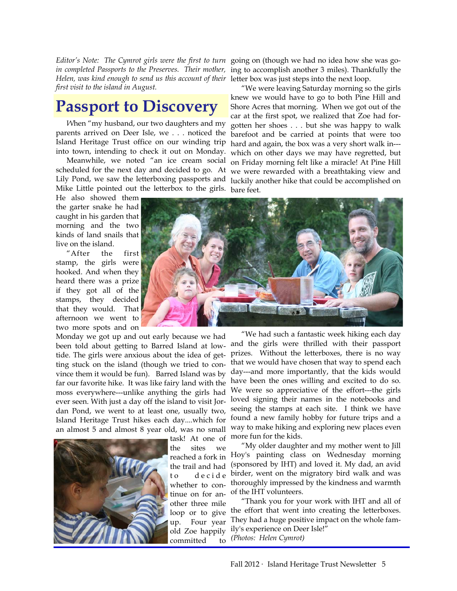Helen, was kind enough to send us this account of their letter box was just steps into the next loop. *first visit to the island in August.* 

## **Passport to Discovery**

 *W*hen "my husband, our two daughters and my parents arrived on Deer Isle, we . . . noticed the Island Heritage Trust office on our winding trip into town, intending to check it out on Monday.

 Meanwhile, we noted "an ice cream social scheduled for the next day and decided to go. At Lily Pond, we saw the letterboxing passports and luckily another hike that could be accomplished on Mike Little pointed out the letterbox to the girls. bare feet.

He also showed them the garter snake he had caught in his garden that morning and the two kinds of land snails that live on the island.

 "After the first stamp, the girls were hooked. And when they heard there was a prize if they got all of the stamps, they decided that they would. That afternoon we went to two more spots and on

Monday we got up and out early because we had been told about getting to Barred Island at lowtide. The girls were anxious about the idea of getting stuck on the island (though we tried to convince them it would be fun). Barred Island was by far our favorite hike. It was like fairy land with the moss everywhere---unlike anything the girls had ever seen. With just a day off the island to visit Jordan Pond, we went to at least one, usually two, Island Heritage Trust hikes each day....which for an almost 5 and almost 8 year old, was no small



task! At one of the sites we reached a fork in the trail and had to de cide whether to continue on for another three mile loop or to give up. Four year old Zoe happily committed to

Editor's Note: The Cymrot girls were the first to turn going on (though we had no idea how she was go*in completed Passports to the Preserves. Their mother,*  ing to accomplish another 3 miles). Thankfully the

> "We were leaving Saturday morning so the girls knew we would have to go to both Pine Hill and Shore Acres that morning. When we got out of the car at the first spot, we realized that Zoe had forgotten her shoes . . . but she was happy to walk barefoot and be carried at points that were too hard and again, the box was a very short walk in-- which on other days we may have regretted, but on Friday morning felt like a miracle! At Pine Hill we were rewarded with a breathtaking view and



 "We had such a fantastic week hiking each day and the girls were thrilled with their passport prizes. Without the letterboxes, there is no way that we would have chosen that way to spend each day---and more importantly, that the kids would have been the ones willing and excited to do so. We were so appreciative of the effort---the girls loved signing their names in the notebooks and seeing the stamps at each site. I think we have found a new family hobby for future trips and a way to make hiking and exploring new places even more fun for the kids.

 "My older daughter and my mother went to Jill Hoy's painting class on Wednesday morning (sponsored by IHT) and loved it. My dad, an avid birder, went on the migratory bird walk and was thoroughly impressed by the kindness and warmth of the IHT volunteers.

 "Thank you for your work with IHT and all of the effort that went into creating the letterboxes. They had a huge positive impact on the whole family's experience on Deer Isle!" *(Photos: Helen Cymrot)*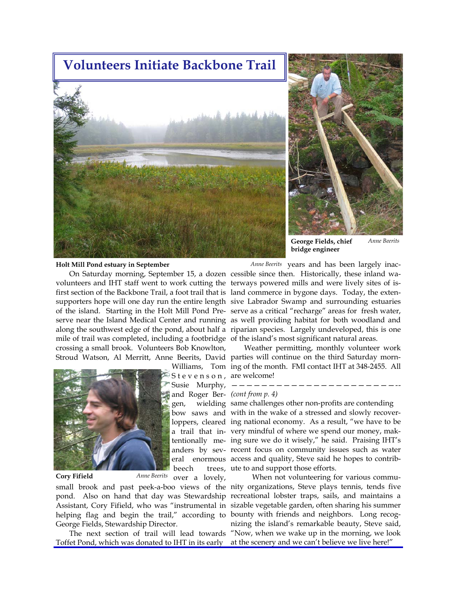## **Volunteers Initiate Backbone Trail**





**George Fields, chief bridge engineer**  *Anne Beerits* 

#### **Holt Mill Pond estuary in September**

mile of trail was completed, including a footbridge of the island's most significant natural areas. crossing a small brook. Volunteers Bob Knowlton,



### **Cory Fifield** *Anne Beerits*

S t e v e n s o n , are welcome! Susie Murphy, ——————————————————————- and Roger Ber-*(cont from p. 4)* 

over a lovely,

George Fields, Stewardship Director.

Toffet Pond, which was donated to IHT in its early at the scenery and we can't believe we live here!"

On Saturday morning, September 15, a dozen cessible since then. Historically, these inland wavolunteers and IHT staff went to work cutting the terways powered mills and were lively sites of isfirst section of the Backbone Trail, a foot trail that is land commerce in bygone days. Today, the extensupporters hope will one day run the entire length sive Labrador Swamp and surrounding estuaries of the island. Starting in the Holt Mill Pond Pre-serve as a critical "recharge" areas for fresh water, serve near the Island Medical Center and running as well providing habitat for both woodland and along the southwest edge of the pond, about half a riparian species. Largely undeveloped, this is one Anne Beerits years and has been largely inac-

Stroud Watson, Al Merritt, Anne Beerits, David parties will continue on the third Saturday morn-Williams, Tom ing of the month. FMI contact IHT at 348-2455. All Weather permitting, monthly volunteer work

gen, wielding same challenges other non-profits are contending bow saws and with in the wake of a stressed and slowly recoverloppers, cleared ing national economy. As a result, "we have to be a trail that in-very mindful of where we spend our money, maktentionally me-ing sure we do it wisely," he said. Praising IHT's anders by sev-recent focus on community issues such as water eral enormous access and quality, Steve said he hopes to contribbeech trees, ute to and support those efforts.

small brook and past peek-a-boo views of the nity organizations, Steve plays tennis, tends five pond. Also on hand that day was Stewardship recreational lobster traps, sails, and maintains a Assistant, Cory Fifield, who was "instrumental in sizable vegetable garden, often sharing his summer helping flag and begin the trail," according to bounty with friends and neighbors. Long recog-The next section of trail will lead towards "Now, when we wake up in the morning, we look When not volunteering for various communizing the island's remarkable beauty, Steve said,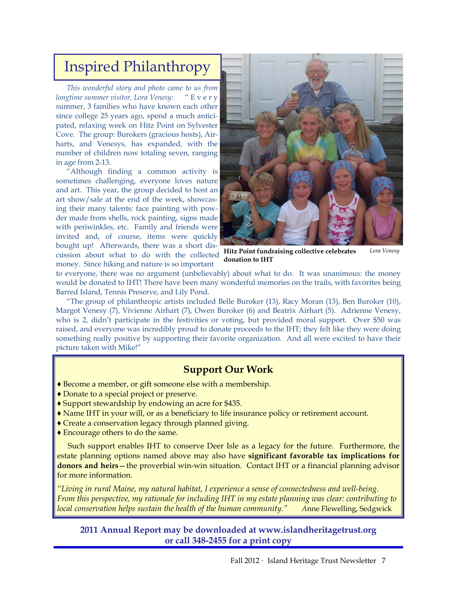## Inspired Philanthropy

*This wonderful story and photo came to us from longtime summer visitor, Lora Venesy:* " E v e r y summer, 3 families who have known each other since college 25 years ago, spend a much anticipated, relaxing week on Hitz Point on Sylvester Cove. The group: Burokers (gracious hosts), Airharts, and Venesys, has expanded, with the number of children now totaling seven, ranging in age from 2-13.

 "Although finding a common activity is sometimes challenging, everyone loves nature and art. This year, the group decided to host an art show/sale at the end of the week, showcasing their many talents: face painting with powder made from shells, rock painting, signs made with periwinkles, etc. Family and friends were invited and, of course, items were quickly bought up! Afterwards, there was a short discussion about what to do with the collected money. Since hiking and nature is so important



**Hitz Point fundraising collective celebrates donation to IHT**   *Lora Venesy* 

to everyone, there was no argument (unbelievably) about what to do. It was unanimous: the money would be donated to IHT! There have been many wonderful memories on the trails, with favorites being Barred Island, Tennis Preserve, and Lily Pond.

 "The group of philanthropic artists included Belle Buroker (13), Racy Moran (13), Ben Buroker (10), Margot Venesy (7), Vivienne Airhart (7), Owen Buroker (6) and Beatrix Airhart (5). Adrienne Venesy, who is 2, didn't participate in the festivities or voting, but provided moral support. Over \$50 was raised, and everyone was incredibly proud to donate proceeds to the IHT; they felt like they were doing something really positive by supporting their favorite organization. And all were excited to have their picture taken with Mike!"

### **Support Our Work**

- ♦ Become a member, or gift someone else with a membership.
- ♦ Donate to a special project or preserve.
- ♦ Support stewardship by endowing an acre for \$435.
- ♦ Name IHT in your will, or as a beneficiary to life insurance policy or retirement account.
- ♦ Create a conservation legacy through planned giving.
- ♦ Encourage others to do the same.

 Such support enables IHT to conserve Deer Isle as a legacy for the future. Furthermore, the estate planning options named above may also have **significant favorable tax implications for donors and heirs**—the proverbial win-win situation. Contact IHT or a financial planning advisor for more information.

*"Living in rural Maine, my natural habitat, I experience a sense of connectedness and well-being. From this perspective, my rationale for including IHT in my estate planning was clear: contributing to local conservation helps sustain the health of the human community." A*nne Flewelling, Sedgwick

**2011 Annual Report may be downloaded at www.islandheritagetrust.org or call 348-2455 for a print copy**